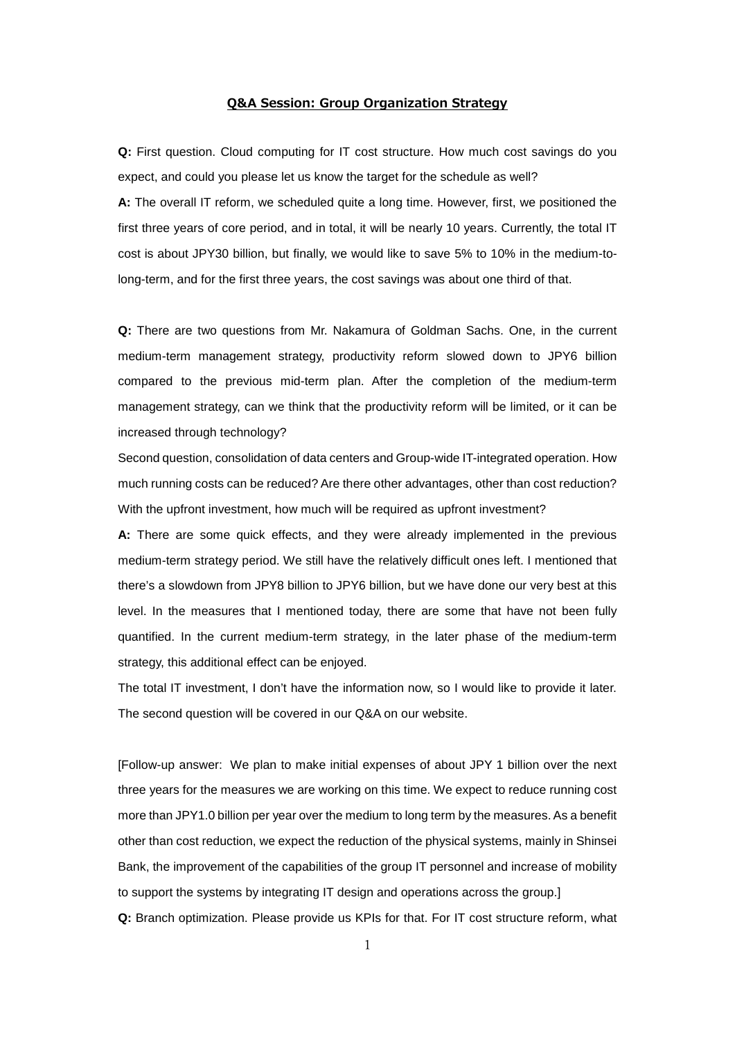## **Q&A Session: Group Organization Strategy**

**Q:** First question. Cloud computing for IT cost structure. How much cost savings do you expect, and could you please let us know the target for the schedule as well?

**A:** The overall IT reform, we scheduled quite a long time. However, first, we positioned the first three years of core period, and in total, it will be nearly 10 years. Currently, the total IT cost is about JPY30 billion, but finally, we would like to save 5% to 10% in the medium-tolong-term, and for the first three years, the cost savings was about one third of that.

**Q:** There are two questions from Mr. Nakamura of Goldman Sachs. One, in the current medium-term management strategy, productivity reform slowed down to JPY6 billion compared to the previous mid-term plan. After the completion of the medium-term management strategy, can we think that the productivity reform will be limited, or it can be increased through technology?

Second question, consolidation of data centers and Group-wide IT-integrated operation. How much running costs can be reduced? Are there other advantages, other than cost reduction? With the upfront investment, how much will be required as upfront investment?

**A:** There are some quick effects, and they were already implemented in the previous medium-term strategy period. We still have the relatively difficult ones left. I mentioned that there's a slowdown from JPY8 billion to JPY6 billion, but we have done our very best at this level. In the measures that I mentioned today, there are some that have not been fully quantified. In the current medium-term strategy, in the later phase of the medium-term strategy, this additional effect can be enjoyed.

The total IT investment, I don't have the information now, so I would like to provide it later. The second question will be covered in our Q&A on our website.

[Follow-up answer: We plan to make initial expenses of about JPY 1 billion over the next three years for the measures we are working on this time. We expect to reduce running cost more than JPY1.0 billion per year over the medium to long term by the measures. As a benefit other than cost reduction, we expect the reduction of the physical systems, mainly in Shinsei Bank, the improvement of the capabilities of the group IT personnel and increase of mobility to support the systems by integrating IT design and operations across the group.] **Q:** Branch optimization. Please provide us KPIs for that. For IT cost structure reform, what